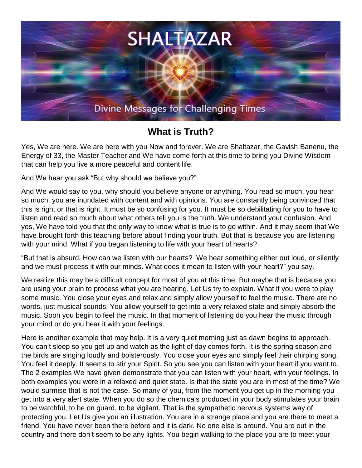

## **What is Truth?**

Yes, We are here. We are here with you Now and forever. We are Shaltazar, the Gavish Banenu, the Energy of 33, the Master Teacher and We have come forth at this time to bring you Divine Wisdom that can help you live a more peaceful and content life.

And We hear you ask "But why should we believe you?"

And We would say to you, why should you believe anyone or anything. You read so much, you hear so much, you are inundated with content and with opinions. You are constantly being convinced that this is right or that is right. It must be so confusing for you. It must be so debilitating for you to have to listen and read so much about what others tell you is the truth. We understand your confusion. And yes, We have told you that the only way to know what is true is to go within. And it may seem that We have brought forth this teaching before about finding your truth. But that is because you are listening with your mind. What if you began listening to life with your heart of hearts?

"But that is absurd. How can we listen with our hearts? We hear something either out loud, or silently and we must process it with our minds. What does it mean to listen with your heart?" you say.

We realize this may be a difficult concept for most of you at this time. But maybe that is because you are using your brain to process what you are hearing. Let Us try to explain. What if you were to play some music. You close your eyes and relax and simply allow yourself to feel the music. There are no words, just musical sounds. You allow yourself to get into a very relaxed state and simply absorb the music. Soon you begin to feel the music. In that moment of listening do you hear the music through your mind or do you hear it with your feelings.

Here is another example that may help. It is a very quiet morning just as dawn begins to approach. You can't sleep so you get up and watch as the light of day comes forth. It is the spring season and the birds are singing loudly and boisterously. You close your eyes and simply feel their chirping song. You feel it deeply. It seems to stir your Spirit. So you see you can listen with your heart if you want to. The 2 examples We have given demonstrate that you can listen with your heart, with your feelings. In both examples you were in a relaxed and quiet state. Is that the state you are in most of the time? We would surmise that is not the case. So many of you, from the moment you get up in the morning you get into a very alert state. When you do so the chemicals produced in your body stimulates your brain to be watchful, to be on guard, to be vigilant. That is the sympathetic nervous systems way of protecting you. Let Us give you an illustration. You are in a strange place and you are there to meet a friend. You have never been there before and it is dark. No one else is around. You are out in the country and there don't seem to be any lights. You begin walking to the place you are to meet your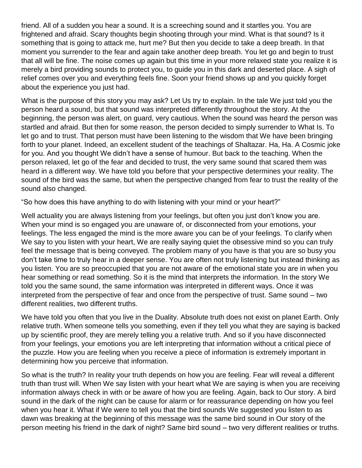friend. All of a sudden you hear a sound. It is a screeching sound and it startles you. You are frightened and afraid. Scary thoughts begin shooting through your mind. What is that sound? Is it something that is going to attack me, hurt me? But then you decide to take a deep breath. In that moment you surrender to the fear and again take another deep breath. You let go and begin to trust that all will be fine. The noise comes up again but this time in your more relaxed state you realize it is merely a bird providing sounds to protect you, to guide you in this dark and deserted place. A sigh of relief comes over you and everything feels fine. Soon your friend shows up and you quickly forget about the experience you just had.

What is the purpose of this story you may ask? Let Us try to explain. In the tale We just told you the person heard a sound, but that sound was interpreted differently throughout the story. At the beginning, the person was alert, on guard, very cautious. When the sound was heard the person was startled and afraid. But then for some reason, the person decided to simply surrender to What Is. To let go and to trust. That person must have been listening to the wisdom that We have been bringing forth to your planet. Indeed, an excellent student of the teachings of Shaltazar. Ha, Ha. A Cosmic joke for you. And you thought We didn't have a sense of humour. But back to the teaching. When the person relaxed, let go of the fear and decided to trust, the very same sound that scared them was heard in a different way. We have told you before that your perspective determines your reality. The sound of the bird was the same, but when the perspective changed from fear to trust the reality of the sound also changed.

"So how does this have anything to do with listening with your mind or your heart?"

Well actuality you are always listening from your feelings, but often you just don't know you are. When your mind is so engaged you are unaware of, or disconnected from your emotions, your feelings. The less engaged the mind is the more aware you can be of your feelings. To clarify when We say to you listen with your heart, We are really saying quiet the obsessive mind so you can truly feel the message that is being conveyed. The problem many of you have is that you are so busy you don't take time to truly hear in a deeper sense. You are often not truly listening but instead thinking as you listen. You are so preoccupied that you are not aware of the emotional state you are in when you hear something or read something. So it is the mind that interprets the information. In the story We told you the same sound, the same information was interpreted in different ways. Once it was interpreted from the perspective of fear and once from the perspective of trust. Same sound – two different realities, two different truths.

We have told you often that you live in the Duality. Absolute truth does not exist on planet Earth. Only relative truth. When someone tells you something, even if they tell you what they are saying is backed up by scientific proof, they are merely telling you a relative truth. And so if you have disconnected from your feelings, your emotions you are left interpreting that information without a critical piece of the puzzle. How you are feeling when you receive a piece of information is extremely important in determining how you perceive that information.

So what is the truth? In reality your truth depends on how you are feeling. Fear will reveal a different truth than trust will. When We say listen with your heart what We are saying is when you are receiving information always check in with or be aware of how you are feeling. Again, back to Our story. A bird sound in the dark of the night can be cause for alarm or for reassurance depending on how you feel when you hear it. What if We were to tell you that the bird sounds We suggested you listen to as dawn was breaking at the beginning of this message was the same bird sound in Our story of the person meeting his friend in the dark of night? Same bird sound – two very different realities or truths.